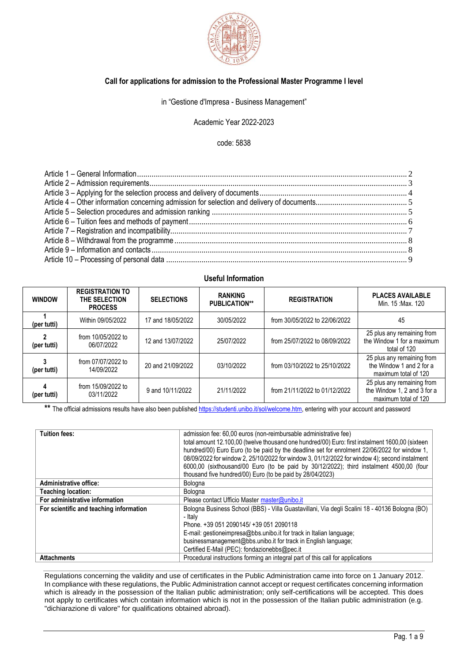

#### **Call for applications for admission to the Professional Master Programme I level**

in "Gestione d'Impresa - Business Management"

Academic Year 2022-2023

code: 5838

#### **Useful Information**

| <b>WINDOW</b>               | <b>REGISTRATION TO</b><br>THE SELECTION<br><b>PROCESS</b> | <b>SELECTIONS</b> | <b>RANKING</b><br><b>PUBLICATION**</b> | <b>REGISTRATION</b>           | <b>PLACES AVAILABLE</b><br>Min. 15: Max. 120                                      |
|-----------------------------|-----------------------------------------------------------|-------------------|----------------------------------------|-------------------------------|-----------------------------------------------------------------------------------|
| (per tutti)                 | Within 09/05/2022                                         | 17 and 18/05/2022 | 30/05/2022                             | from 30/05/2022 to 22/06/2022 | 45                                                                                |
| $\mathbf{2}$<br>(per tutti) | from 10/05/2022 to<br>06/07/2022                          | 12 and 13/07/2022 | 25/07/2022                             | from 25/07/2022 to 08/09/2022 | 25 plus any remaining from<br>the Window 1 for a maximum<br>total of 120          |
| 3<br>(per tutti)            | from 07/07/2022 to<br>14/09/2022                          | 20 and 21/09/2022 | 03/10/2022                             | from 03/10/2022 to 25/10/2022 | 25 plus any remaining from<br>the Window 1 and 2 for a<br>maximum total of 120    |
| 4<br>(per tutti)            | from 15/09/2022 to<br>03/11/2022                          | 9 and 10/11/2022  | 21/11/2022                             | from 21/11/2022 to 01/12/2022 | 25 plus any remaining from<br>the Window 1, 2 and 3 for a<br>maximum total of 120 |

\*\* The official admissions results have also been published [https://studenti.unibo.it/sol/welcome.htm,](https://studenti.unibo.it/sol/welcome.htm) entering with your account and password

| <b>Tuition fees:</b>                    | admission fee: 60,00 euros (non-reimbursable administrative fee)                                |  |  |
|-----------------------------------------|-------------------------------------------------------------------------------------------------|--|--|
|                                         | total amount 12.100,00 (twelve thousand one hundred/00) Euro: first instalment 1600,00 (sixteen |  |  |
|                                         | hundred/00) Euro Euro (to be paid by the deadline set for enrolment 22/06/2022 for window 1,    |  |  |
|                                         |                                                                                                 |  |  |
|                                         | 08/09/2022 for window 2, 25/10/2022 for window 3, 01/12/2022 for window 4); second instalment   |  |  |
|                                         | 6000,00 (sixthousand/00 Euro (to be paid by 30/12/2022); third instalment 4500,00 (four         |  |  |
|                                         | thousand five hundred/00) Euro (to be paid by 28/04/2023)                                       |  |  |
| <b>Administrative office:</b>           | Bologna                                                                                         |  |  |
| <b>Teaching location:</b>               | Bologna                                                                                         |  |  |
| For administrative information          | Please contact Ufficio Master master@unibo.it                                                   |  |  |
| For scientific and teaching information | Bologna Business School (BBS) - Villa Guastavillani, Via degli Scalini 18 - 40136 Bologna (BO)  |  |  |
|                                         | - Italy                                                                                         |  |  |
|                                         | Phone. +39 051 2090145/ +39 051 2090118                                                         |  |  |
|                                         | E-mail: gestioneimpresa@bbs.unibo.it for track in Italian language;                             |  |  |
|                                         | businessmanagement@bbs.unibo.it for track in English language;                                  |  |  |
|                                         | Certified E-Mail (PEC): fondazionebbs@pec.it                                                    |  |  |
| <b>Attachments</b>                      | Procedural instructions forming an integral part of this call for applications                  |  |  |

Regulations concerning the validity and use of certificates in the Public Administration came into force on 1 January 2012. In compliance with these regulations, the Public Administration cannot accept or request certificates concerning information which is already in the possession of the Italian public administration; only self-certifications will be accepted. This does not apply to certificates which contain information which is not in the possession of the Italian public administration (e.g. "dichiarazione di valore" for qualifications obtained abroad).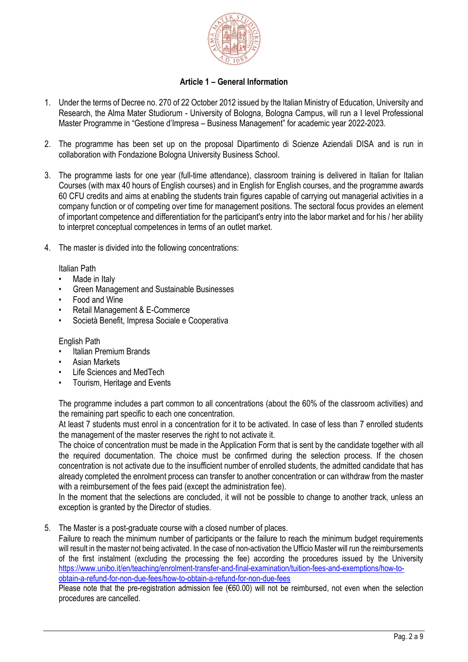

# **Article 1 – General Information**

- <span id="page-1-0"></span>1. Under the terms of Decree no. 270 of 22 October 2012 issued by the Italian Ministry of Education, University and Research, the Alma Mater Studiorum - University of Bologna, Bologna Campus, will run a I level Professional Master Programme in "Gestione d'Impresa – Business Management" for academic year 2022-2023.
- 2. The programme has been set up on the proposal Dipartimento di Scienze Aziendali DISA and is run in collaboration with Fondazione Bologna University Business School.
- 3. The programme lasts for one year (full-time attendance), classroom training is delivered in Italian for Italian Courses (with max 40 hours of English courses) and in English for English courses, and the programme awards 60 CFU credits and aims at enabling the students train figures capable of carrying out managerial activities in a company function or of competing over time for management positions. The sectoral focus provides an element of important competence and differentiation for the participant's entry into the labor market and for his / her ability to interpret conceptual competences in terms of an outlet market.
- 4. The master is divided into the following concentrations:

Italian Path

- Made in Italy
- Green Management and Sustainable Businesses
- Food and Wine
- Retail Management & E-Commerce
- Società Benefit, Impresa Sociale e Cooperativa

### English Path

- Italian Premium Brands
- Asian Markets
- Life Sciences and MedTech
- Tourism, Heritage and Events

The programme includes a part common to all concentrations (about the 60% of the classroom activities) and the remaining part specific to each one concentration.

At least 7 students must enrol in a concentration for it to be activated. In case of less than 7 enrolled students the management of the master reserves the right to not activate it.

The choice of concentration must be made in the Application Form that is sent by the candidate together with all the required documentation. The choice must be confirmed during the selection process. If the chosen concentration is not activate due to the insufficient number of enrolled students, the admitted candidate that has already completed the enrolment process can transfer to another concentration or can withdraw from the master with a reimbursement of the fees paid (except the administration fee).

In the moment that the selections are concluded, it will not be possible to change to another track, unless an exception is granted by the Director of studies.

5. The Master is a post-graduate course with a closed number of places.

Failure to reach the minimum number of participants or the failure to reach the minimum budget requirements will result in the master not being activated. In the case of non-activation the Ufficio Master will run the reimbursements of the first instalment (excluding the processing the fee) according the procedures issued by the University [https://www.unibo.it/en/teaching/enrolment-transfer-and-final-examination/tuition-fees-and-exemptions/how-to](https://www.unibo.it/en/teaching/enrolment-transfer-and-final-examination/tuition-fees-and-exemptions/how-to-obtain-a-refund-for-non-due-fees/how-to-obtain-a-refund-for-non-due-fees)[obtain-a-refund-for-non-due-fees/how-to-obtain-a-refund-for-non-due-fees](https://www.unibo.it/en/teaching/enrolment-transfer-and-final-examination/tuition-fees-and-exemptions/how-to-obtain-a-refund-for-non-due-fees/how-to-obtain-a-refund-for-non-due-fees)

Please note that the pre-registration admission fee (€60.00) will not be reimbursed, not even when the selection procedures are cancelled.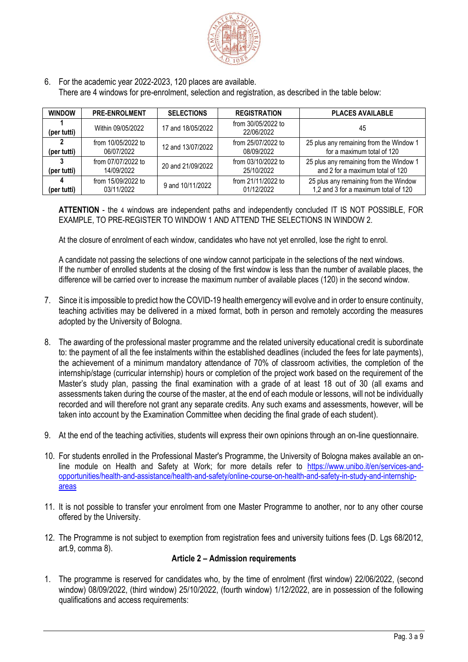

6. For the academic year 2022-2023, 120 places are available. There are 4 windows for pre-enrolment, selection and registration, as described in the table below:

| <b>WINDOW</b>    | <b>PRE-ENROLMENT</b>             | <b>SELECTIONS</b> | <b>REGISTRATION</b>              | <b>PLACES AVAILABLE</b>                                                       |
|------------------|----------------------------------|-------------------|----------------------------------|-------------------------------------------------------------------------------|
| (per tutti)      | Within 09/05/2022                | 17 and 18/05/2022 | from 30/05/2022 to<br>22/06/2022 | 45                                                                            |
| (per tutti)      | from 10/05/2022 to<br>06/07/2022 | 12 and 13/07/2022 | from 25/07/2022 to<br>08/09/2022 | 25 plus any remaining from the Window 1<br>for a maximum total of 120         |
| 3<br>(per tutti) | from 07/07/2022 to<br>14/09/2022 | 20 and 21/09/2022 | from 03/10/2022 to<br>25/10/2022 | 25 plus any remaining from the Window 1<br>and 2 for a maximum total of 120   |
| (per tutti)      | from 15/09/2022 to<br>03/11/2022 | 9 and 10/11/2022  | from 21/11/2022 to<br>01/12/2022 | 25 plus any remaining from the Window<br>1,2 and 3 for a maximum total of 120 |

**ATTENTION** - the 4 windows are independent paths and independently concluded IT IS NOT POSSIBLE, FOR EXAMPLE, TO PRE-REGISTER TO WINDOW 1 AND ATTEND THE SELECTIONS IN WINDOW 2.

At the closure of enrolment of each window, candidates who have not yet enrolled, lose the right to enrol.

A candidate not passing the selections of one window cannot participate in the selections of the next windows. If the number of enrolled students at the closing of the first window is less than the number of available places, the difference will be carried over to increase the maximum number of available places (120) in the second window.

- 7. Since it is impossible to predict how the COVID-19 health emergency will evolve and in order to ensure continuity, teaching activities may be delivered in a mixed format, both in person and remotely according the measures adopted by the University of Bologna.
- 8. The awarding of the professional master programme and the related university educational credit is subordinate to: the payment of all the fee instalments within the established deadlines (included the fees for late payments), the achievement of a minimum mandatory attendance of 70% of classroom activities, the completion of the internship/stage (curricular internship) hours or completion of the project work based on the requirement of the Master's study plan, passing the final examination with a grade of at least 18 out of 30 (all exams and assessments taken during the course of the master, at the end of each module or lessons, will not be individually recorded and will therefore not grant any separate credits. Any such exams and assessments, however, will be taken into account by the Examination Committee when deciding the final grade of each student).
- 9. At the end of the teaching activities, students will express their own opinions through an on-line questionnaire.
- 10. For students enrolled in the Professional Master's Programme, the University of Bologna makes available an online module on Health and Safety at Work; for more details refer to [https://www.unibo.it/en/services-and](https://www.unibo.it/en/services-and-opportunities/health-and-assistance/health-and-safety/online-course-on-health-and-safety-in-study-and-internship-areas)[opportunities/health-and-assistance/health-and-safety/online-course-on-health-and-safety-in-study-and-internship](https://www.unibo.it/en/services-and-opportunities/health-and-assistance/health-and-safety/online-course-on-health-and-safety-in-study-and-internship-areas)[areas](https://www.unibo.it/en/services-and-opportunities/health-and-assistance/health-and-safety/online-course-on-health-and-safety-in-study-and-internship-areas)
- 11. It is not possible to transfer your enrolment from one Master Programme to another, nor to any other course offered by the University.
- <span id="page-2-0"></span>12. The Programme is not subject to exemption from registration fees and university tuitions fees (D. Lgs 68/2012, art.9, comma 8).

### **Article 2 – Admission requirements**

1. The programme is reserved for candidates who, by the time of enrolment (first window) 22/06/2022, (second window) 08/09/2022, (third window) 25/10/2022, (fourth window) 1/12/2022, are in possession of the following qualifications and access requirements: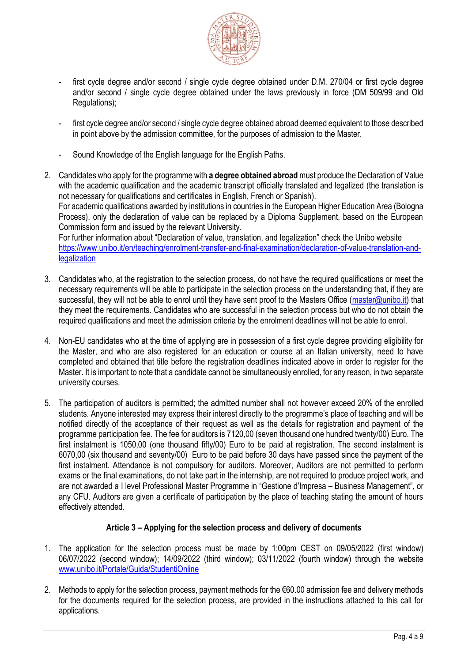

- first cycle degree and/or second / single cycle degree obtained under D.M. 270/04 or first cycle degree and/or second / single cycle degree obtained under the laws previously in force (DM 509/99 and Old Regulations):
- first cycle degree and/or second / single cycle degree obtained abroad deemed equivalent to those described in point above by the admission committee, for the purposes of admission to the Master.
- Sound Knowledge of the English language for the English Paths.
- 2. Candidates who apply for the programme with **a degree obtained abroad** must produce the Declaration of Value with the academic qualification and the academic transcript officially translated and legalized (the translation is not necessary for qualifications and certificates in English, French or Spanish). For academic qualifications awarded by institutions in countries in the European Higher Education Area (Bologna Process), only the declaration of value can be replaced by a Diploma Supplement, based on the European

Commission form and issued by the relevant University. For further information about "Declaration of value, translation, and legalization" check the Unibo website

[https://www.unibo.it/en/teaching/enrolment-transfer-and-final-examination/declaration-of-value-translation-and](https://www.unibo.it/en/teaching/enrolment-transfer-and-final-examination/declaration-of-value-translation-and-legalization)[legalization](https://www.unibo.it/en/teaching/enrolment-transfer-and-final-examination/declaration-of-value-translation-and-legalization)

- 3. Candidates who, at the registration to the selection process, do not have the required qualifications or meet the necessary requirements will be able to participate in the selection process on the understanding that, if they are successful, they will not be able to enrol until they have sent proof to the Masters Office [\(master@unibo.it\)](mailto:master@unibo.it) that they meet the requirements. Candidates who are successful in the selection process but who do not obtain the required qualifications and meet the admission criteria by the enrolment deadlines will not be able to enrol.
- 4. Non-EU candidates who at the time of applying are in possession of a first cycle degree providing eligibility for the Master, and who are also registered for an education or course at an Italian university, need to have completed and obtained that title before the registration deadlines indicated above in order to register for the Master. It is important to note that a candidate cannot be simultaneously enrolled, for any reason, in two separate university courses.
- 5. The participation of auditors is permitted; the admitted number shall not however exceed 20% of the enrolled students. Anyone interested may express their interest directly to the programme's place of teaching and will be notified directly of the acceptance of their request as well as the details for registration and payment of the programme participation fee. The fee for auditors is 7120,00 (seven thousand one hundred twenty/00) Euro. The first instalment is 1050,00 (one thousand fifty/00) Euro to be paid at registration. The second instalment is 6070,00 (six thousand and seventy/00) Euro to be paid before 30 days have passed since the payment of the first instalment. Attendance is not compulsory for auditors. Moreover, Auditors are not permitted to perform exams or the final examinations, do not take part in the internship, are not required to produce project work, and are not awarded a I level Professional Master Programme in "Gestione d'Impresa – Business Management", or any CFU. Auditors are given a certificate of participation by the place of teaching stating the amount of hours effectively attended.

# **Article 3 – Applying for the selection process and delivery of documents**

- <span id="page-3-0"></span>1. The application for the selection process must be made by 1:00pm CEST on 09/05/2022 (first window) 06/07/2022 (second window); 14/09/2022 (third window); 03/11/2022 (fourth window) through the website [www.unibo.it/Portale/Guida/StudentiOnline](http://www.unibo.it/Portale/Guida/StudentiOnline)
- 2. Methods to apply for the selection process, payment methods for the €60.00 admission fee and delivery methods for the documents required for the selection process, are provided in the instructions attached to this call for applications.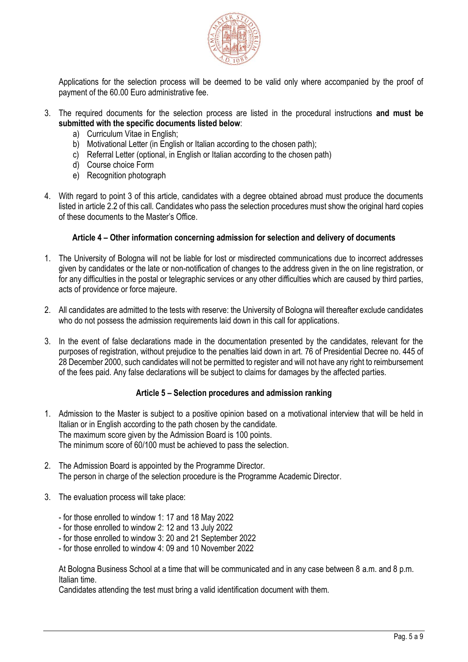

Applications for the selection process will be deemed to be valid only where accompanied by the proof of payment of the 60.00 Euro administrative fee.

- 3. The required documents for the selection process are listed in the procedural instructions **and must be submitted with the specific documents listed below**:
	- a) Curriculum Vitae in English;
	- b) Motivational Letter (in English or Italian according to the chosen path);
	- c) Referral Letter (optional, in English or Italian according to the chosen path)
	- d) Course choice Form
	- e) Recognition photograph
- 4. With regard to point 3 of this article, candidates with a degree obtained abroad must produce the documents listed in article 2.2 of this call. Candidates who pass the selection procedures must show the original hard copies of these documents to the Master's Office.

### **Article 4 – Other information concerning admission for selection and delivery of documents**

- <span id="page-4-0"></span>1. The University of Bologna will not be liable for lost or misdirected communications due to incorrect addresses given by candidates or the late or non-notification of changes to the address given in the on line registration, or for any difficulties in the postal or telegraphic services or any other difficulties which are caused by third parties, acts of providence or force majeure.
- 2. All candidates are admitted to the tests with reserve: the University of Bologna will thereafter exclude candidates who do not possess the admission requirements laid down in this call for applications.
- 3. In the event of false declarations made in the documentation presented by the candidates, relevant for the purposes of registration, without prejudice to the penalties laid down in art. 76 of Presidential Decree no. 445 of 28 December 2000, such candidates will not be permitted to register and will not have any right to reimbursement of the fees paid. Any false declarations will be subject to claims for damages by the affected parties.

### **Article 5 – Selection procedures and admission ranking**

- <span id="page-4-1"></span>1. Admission to the Master is subject to a positive opinion based on a motivational interview that will be held in Italian or in English according to the path chosen by the candidate. The maximum score given by the Admission Board is 100 points. The minimum score of 60/100 must be achieved to pass the selection.
- 2. The Admission Board is appointed by the Programme Director. The person in charge of the selection procedure is the Programme Academic Director.
- 3. The evaluation process will take place:
	- for those enrolled to window 1: 17 and 18 May 2022
	- for those enrolled to window 2: 12 and 13 July 2022
	- for those enrolled to window 3: 20 and 21 September 2022
	- for those enrolled to window 4: 09 and 10 November 2022

At Bologna Business School at a time that will be communicated and in any case between 8 a.m. and 8 p.m. Italian time.

Candidates attending the test must bring a valid identification document with them.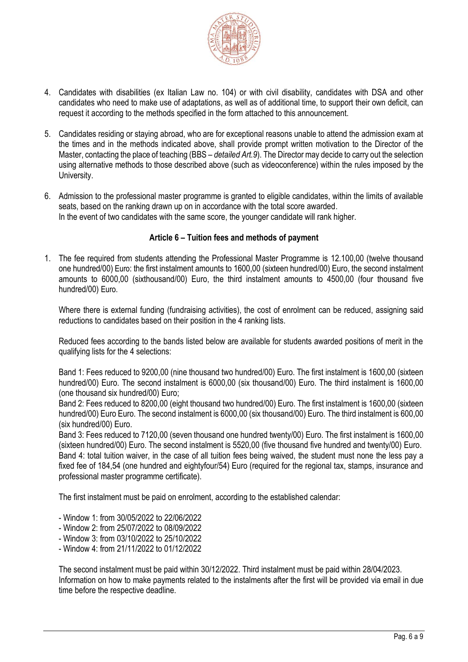

- 4. Candidates with disabilities (ex Italian Law no. 104) or with civil disability, candidates with DSA and other candidates who need to make use of adaptations, as well as of additional time, to support their own deficit, can request it according to the methods specified in the form attached to this announcement.
- 5. Candidates residing or staying abroad, who are for exceptional reasons unable to attend the admission exam at the times and in the methods indicated above, shall provide prompt written motivation to the Director of the Master, contacting the place of teaching (BBS – *detailed Art.9*). The Director may decide to carry out the selection using alternative methods to those described above (such as videoconference) within the rules imposed by the University.
- 6. Admission to the professional master programme is granted to eligible candidates, within the limits of available seats, based on the ranking drawn up on in accordance with the total score awarded. In the event of two candidates with the same score, the younger candidate will rank higher.

## **Article 6 – Tuition fees and methods of payment**

<span id="page-5-0"></span>1. The fee required from students attending the Professional Master Programme is 12.100,00 (twelve thousand one hundred/00) Euro: the first instalment amounts to 1600,00 (sixteen hundred/00) Euro, the second instalment amounts to 6000,00 (sixthousand/00) Euro, the third instalment amounts to 4500,00 (four thousand five hundred/00) Euro.

Where there is external funding (fundraising activities), the cost of enrolment can be reduced, assigning said reductions to candidates based on their position in the 4 ranking lists.

Reduced fees according to the bands listed below are available for students awarded positions of merit in the qualifying lists for the 4 selections:

Band 1: Fees reduced to 9200,00 (nine thousand two hundred/00) Euro. The first instalment is 1600,00 (sixteen hundred/00) Euro. The second instalment is 6000,00 (six thousand/00) Euro. The third instalment is 1600,00 (one thousand six hundred/00) Euro;

Band 2: Fees reduced to 8200,00 (eight thousand two hundred/00) Euro. The first instalment is 1600,00 (sixteen hundred/00) Euro Euro. The second instalment is 6000,00 (six thousand/00) Euro. The third instalment is 600,00 (six hundred/00) Euro.

Band 3: Fees reduced to 7120,00 (seven thousand one hundred twenty/00) Euro. The first instalment is 1600,00 (sixteen hundred/00) Euro. The second instalment is 5520,00 (five thousand five hundred and twenty/00) Euro. Band 4: total tuition waiver, in the case of all tuition fees being waived, the student must none the less pay a fixed fee of 184,54 (one hundred and eightyfour/54) Euro (required for the regional tax, stamps, insurance and professional master programme certificate).

The first instalment must be paid on enrolment, according to the established calendar:

- Window 1: from 30/05/2022 to 22/06/2022
- Window 2: from 25/07/2022 to 08/09/2022
- Window 3: from 03/10/2022 to 25/10/2022
- Window 4: from 21/11/2022 to 01/12/2022

The second instalment must be paid within 30/12/2022. Third instalment must be paid within 28/04/2023. Information on how to make payments related to the instalments after the first will be provided via email in due time before the respective deadline.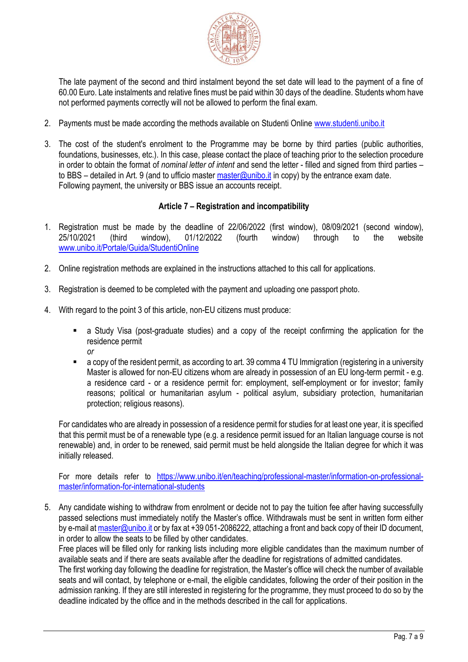

The late payment of the second and third instalment beyond the set date will lead to the payment of a fine of 60.00 Euro. Late instalments and relative fines must be paid within 30 days of the deadline. Students whom have not performed payments correctly will not be allowed to perform the final exam.

- 2. Payments must be made according the methods available on Studenti Online [www.studenti.unibo.it](about:blank)
- 3. The cost of the student's enrolment to the Programme may be borne by third parties (public authorities, foundations, businesses, etc.). In this case, please contact the place of teaching prior to the selection procedure in order to obtain the format of *nominal letter of intent* and send the letter - filled and signed from third parties – to BBS – detailed in Art. 9 (and to ufficio master [master@unibo.it](mailto:master@unibo.it) in copy) by the entrance exam date. Following payment, the university or BBS issue an accounts receipt.

# **Article 7 – Registration and incompatibility**

- <span id="page-6-0"></span>1. Registration must be made by the deadline of 22/06/2022 (first window), 08/09/2021 (second window), 25/10/2021 (third window), 01/12/2022 (fourth window) through to the website [www.unibo.it/Portale/Guida/StudentiOnline](http://www.unibo.it/Portale/Guida/StudentiOnline)
- 2. Online registration methods are explained in the instructions attached to this call for applications.
- 3. Registration is deemed to be completed with the payment and uploading one passport photo.
- 4. With regard to the point 3 of this article, non-EU citizens must produce:
	- a Study Visa (post-graduate studies) and a copy of the receipt confirming the application for the residence permit *or*
	- a copy of the resident permit, as according to art. 39 comma 4 TU Immigration (registering in a university Master is allowed for non-EU citizens whom are already in possession of an EU long-term permit - e.g. a residence card - or a residence permit for: employment, self-employment or for investor; family reasons; political or humanitarian asylum - political asylum, subsidiary protection, humanitarian protection; religious reasons).

For candidates who are already in possession of a residence permit for studies for at least one year, it is specified that this permit must be of a renewable type (e.g. a residence permit issued for an Italian language course is not renewable) and, in order to be renewed, said permit must be held alongside the Italian degree for which it was initially released.

For more details refer to [https://www.unibo.it/en/teaching/professional-master/information-on-professional](https://www.unibo.it/en/teaching/professional-master/information-on-professional-master/information-for-international-students)[master/information-for-international-students](https://www.unibo.it/en/teaching/professional-master/information-on-professional-master/information-for-international-students)

5. Any candidate wishing to withdraw from enrolment or decide not to pay the tuition fee after having successfully passed selections must immediately notify the Master's office. Withdrawals must be sent in written form either by e-mail a[t master@unibo.it](mailto:master@unibo.it) or by fax at +39 051-2086222, attaching a front and back copy of their ID document, in order to allow the seats to be filled by other candidates.

Free places will be filled only for ranking lists including more eligible candidates than the maximum number of available seats and if there are seats available after the deadline for registrations of admitted candidates.

The first working day following the deadline for registration, the Master's office will check the number of available seats and will contact, by telephone or e-mail, the eligible candidates, following the order of their position in the admission ranking. If they are still interested in registering for the programme, they must proceed to do so by the deadline indicated by the office and in the methods described in the call for applications.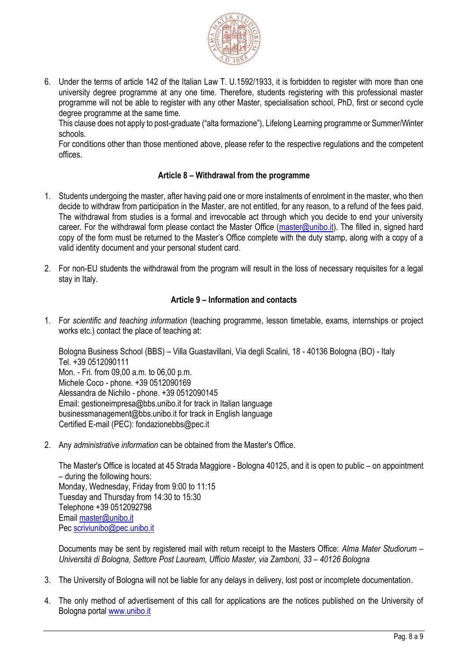

6. Under the terms of article 142 of the Italian Law T. U.1592/1933, it is forbidden to register with more than one university degree programme at any one time. Therefore, students registering with this professional master programme will not be able to register with any other Master, specialisation school, PhD, first or second cycle degree programme at the same time.

This clause does not apply to post-graduate ("alta formazione"), Lifelong Learning programme or Summer/Winter schools.

For conditions other than those mentioned above, please refer to the respective regulations and the competent offices.

## **Article 8 – Withdrawal from the programme**

- <span id="page-7-0"></span>1. Students undergoing the master, after having paid one or more instalments of enrolment in the master, who then decide to withdraw from participation in the Master, are not entitled, for any reason, to a refund of the fees paid. The withdrawal from studies is a formal and irrevocable act through which you decide to end your university career. For the withdrawal form please contact the Master Office [\(master@unibo.it\)](mailto:master@unibo.it). The filled in, signed hard copy of the form must be returned to the Master's Office complete with the duty stamp, along with a copy of a valid identity document and your personal student card.
- 2. For non-EU students the withdrawal from the program will result in the loss of necessary requisites for a legal stay in Italy.

## **Article 9 – Information and contacts**

<span id="page-7-1"></span>1. For *scientific and teaching information* (teaching programme, lesson timetable, exams, internships or project works etc.) contact the place of teaching at:

Bologna Business School (BBS) – Villa Guastavillani, Via degli Scalini, 18 - 40136 Bologna (BO) - Italy Tel. +39 0512090111 Mon. - Fri. from 09,00 a.m. to 06,00 p.m. Michele Coco - phone. +39 0512090169 Alessandra de Nichilo - phone. +39 0512090145 Email: gestioneimpresa@bbs.unibo.it for track in Italian language businessmanagement@bbs.unibo.it for track in English language Certified E-mail (PEC): fondazionebbs@pec.it

2. Any *administrative information* can be obtained from the Master's Office.

The Master's Office is located at 45 Strada Maggiore - Bologna 40125, and it is open to public – on appointment – during the following hours: Monday, Wednesday, Friday from 9:00 to 11:15 Tuesday and Thursday from 14:30 to 15:30 Telephone +39 0512092798 Email [master@unibo.it](mailto:master@unibo.it) Pec [scriviunibo@pec.unibo.it](mailto:scriviunibo@pec.unibo.it)

Documents may be sent by registered mail with return receipt to the Masters Office: *Alma Mater Studiorum – Università di Bologna, Settore Post Lauream, Ufficio Master, via Zamboni, 33 – 40126 Bologna* 

- 3. The University of Bologna will not be liable for any delays in delivery, lost post or incomplete documentation.
- 4. The only method of advertisement of this call for applications are the notices published on the University of Bologna portal [www.unibo.it](http://www.unibo.it/)